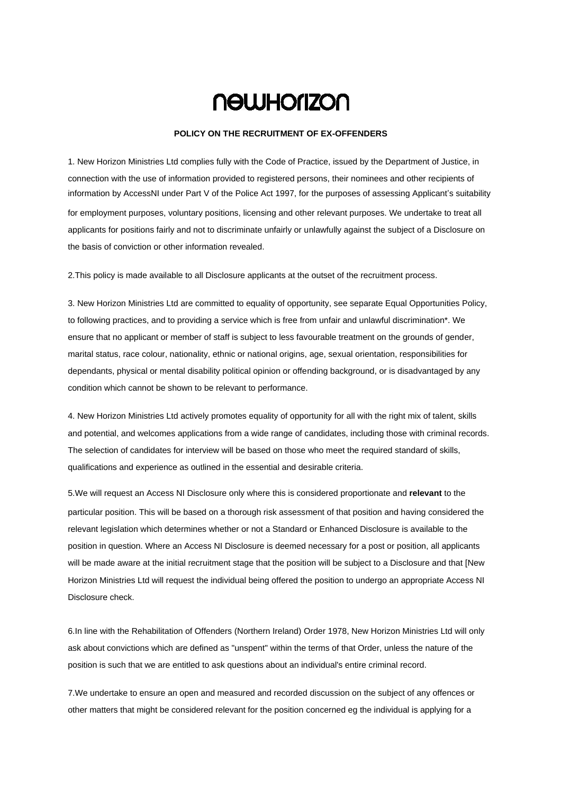## **NOWHONZON**

## **POLICY ON THE RECRUITMENT OF EX-OFFENDERS**

1. New Horizon Ministries Ltd complies fully with the Code of Practice, issued by the Department of Justice, in connection with the use of information provided to registered persons, their nominees and other recipients of information by AccessNI under Part V of the Police Act 1997, for the purposes of assessing Applicant's suitability for employment purposes, voluntary positions, licensing and other relevant purposes. We undertake to treat all applicants for positions fairly and not to discriminate unfairly or unlawfully against the subject of a Disclosure on the basis of conviction or other information revealed.

2.This policy is made available to all Disclosure applicants at the outset of the recruitment process.

3. New Horizon Ministries Ltd are committed to equality of opportunity, see separate Equal Opportunities Policy, to following practices, and to providing a service which is free from unfair and unlawful discrimination\*. We ensure that no applicant or member of staff is subject to less favourable treatment on the grounds of gender, marital status, race colour, nationality, ethnic or national origins, age, sexual orientation, responsibilities for dependants, physical or mental disability political opinion or offending background, or is disadvantaged by any condition which cannot be shown to be relevant to performance.

4. New Horizon Ministries Ltd actively promotes equality of opportunity for all with the right mix of talent, skills and potential, and welcomes applications from a wide range of candidates, including those with criminal records. The selection of candidates for interview will be based on those who meet the required standard of skills, qualifications and experience as outlined in the essential and desirable criteria.

5.We will request an Access NI Disclosure only where this is considered proportionate and **relevant** to the particular position. This will be based on a thorough risk assessment of that position and having considered the relevant legislation which determines whether or not a Standard or Enhanced Disclosure is available to the position in question. Where an Access NI Disclosure is deemed necessary for a post or position, all applicants will be made aware at the initial recruitment stage that the position will be subject to a Disclosure and that [New Horizon Ministries Ltd will request the individual being offered the position to undergo an appropriate Access NI Disclosure check.

6.In line with the Rehabilitation of Offenders (Northern Ireland) Order 1978, New Horizon Ministries Ltd will only ask about convictions which are defined as "unspent" within the terms of that Order, unless the nature of the position is such that we are entitled to ask questions about an individual's entire criminal record.

7.We undertake to ensure an open and measured and recorded discussion on the subject of any offences or other matters that might be considered relevant for the position concerned eg the individual is applying for a